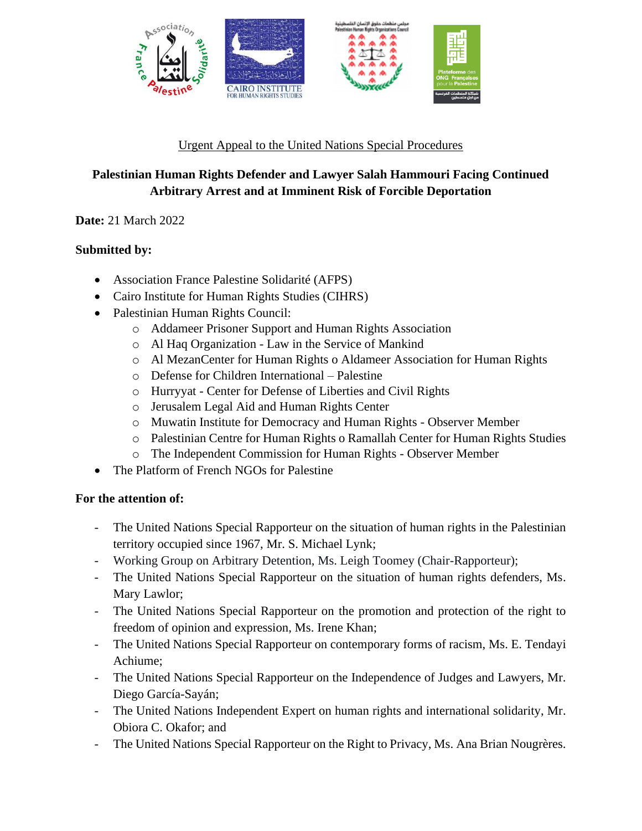

### Urgent Appeal to the United Nations Special Procedures

# **Palestinian Human Rights Defender and Lawyer Salah Hammouri Facing Continued Arbitrary Arrest and at Imminent Risk of Forcible Deportation**

## **Date:** 21 March 2022

## **Submitted by:**

- Association France Palestine Solidarité (AFPS)
- Cairo Institute for Human Rights Studies (CIHRS)
- Palestinian Human Rights Council:
	- o Addameer Prisoner Support and Human Rights Association
	- o Al Haq Organization Law in the Service of Mankind
	- o Al MezanCenter for Human Rights o Aldameer Association for Human Rights
	- o Defense for Children International Palestine
	- o Hurryyat Center for Defense of Liberties and Civil Rights
	- o Jerusalem Legal Aid and Human Rights Center
	- o Muwatin Institute for Democracy and Human Rights Observer Member
	- o Palestinian Centre for Human Rights o Ramallah Center for Human Rights Studies
	- o The Independent Commission for Human Rights Observer Member
- The Platform of French NGOs for Palestine

## **For the attention of:**

- The United Nations Special Rapporteur on the situation of human rights in the Palestinian territory occupied since 1967, Mr. S. Michael Lynk;
- Working Group on Arbitrary Detention, Ms. Leigh Toomey (Chair-Rapporteur);
- The United Nations Special Rapporteur on the situation of human rights defenders, Ms. Mary Lawlor;
- The United Nations Special Rapporteur on the promotion and protection of the right to freedom of opinion and expression, Ms. Irene Khan;
- The United Nations Special Rapporteur on contemporary forms of racism, Ms. E. Tendayi Achiume;
- The United Nations Special Rapporteur on the Independence of Judges and Lawyers, Mr. Diego García-Sayán;
- The United Nations Independent Expert on human rights and international solidarity, Mr. Obiora C. Okafor; and
- The United Nations Special Rapporteur on the Right to Privacy, Ms. Ana Brian Nougrères.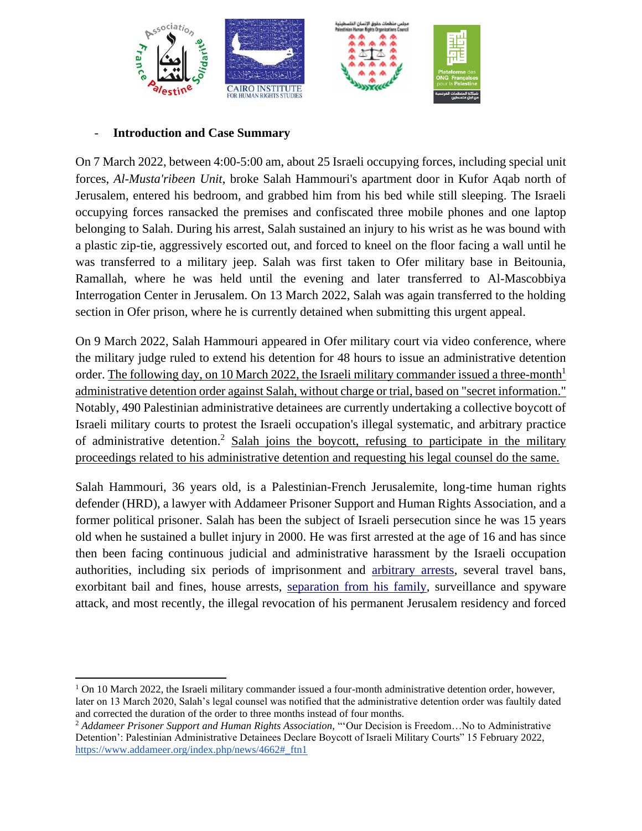

#### - **Introduction and Case Summary**

On 7 March 2022, between 4:00-5:00 am, about 25 Israeli occupying forces, including special unit forces, *Al-Musta'ribeen Unit*, broke Salah Hammouri's apartment door in Kufor Aqab north of Jerusalem, entered his bedroom, and grabbed him from his bed while still sleeping. The Israeli occupying forces ransacked the premises and confiscated three mobile phones and one laptop belonging to Salah. During his arrest, Salah sustained an injury to his wrist as he was bound with a plastic zip-tie, aggressively escorted out, and forced to kneel on the floor facing a wall until he was transferred to a military jeep. Salah was first taken to Ofer military base in Beitounia, Ramallah, where he was held until the evening and later transferred to Al-Mascobbiya Interrogation Center in Jerusalem. On 13 March 2022, Salah was again transferred to the holding section in Ofer prison, where he is currently detained when submitting this urgent appeal.

On 9 March 2022, Salah Hammouri appeared in Ofer military court via video conference, where the military judge ruled to extend his detention for 48 hours to issue an administrative detention order. The following day, on 10 March 2022, the Israeli military commander issued a three-month<sup>1</sup> administrative detention order against Salah, without charge or trial, based on "secret information." Notably, 490 Palestinian administrative detainees are currently undertaking a collective boycott of Israeli military courts to protest the Israeli occupation's illegal systematic, and arbitrary practice of administrative detention.<sup>2</sup> Salah joins the boycott, refusing to participate in the military proceedings related to his administrative detention and requesting his legal counsel do the same.

Salah Hammouri, 36 years old, is a Palestinian-French Jerusalemite, long-time human rights defender (HRD), a lawyer with Addameer Prisoner Support and Human Rights Association, and a former political prisoner. Salah has been the subject of Israeli persecution since he was 15 years old when he sustained a bullet injury in 2000. He was first arrested at the age of 16 and has since then been facing continuous judicial and administrative harassment by the Israeli occupation authorities, including six periods of imprisonment and [arbitrary arrests,](https://www.fidh.org/en/issues/human-rights-defenders/israel-opt-arbitrary-detention-and-judicial-harassment-of-mr-salah) several travel bans, exorbitant bail and fines, house arrests, [separation from his](https://www.diplomatie.gouv.fr/en/country-files/israel-palestinian-territories/news/2018/article/israel-release-of-salah-hamouri-30-09-18) family, surveillance and spyware attack, and most recently, th[e](https://addameer.org/news/4562) [illegal revocation](https://addameer.org/news/4562) of his permanent Jerusalem residency and forced

<sup>&</sup>lt;sup>1</sup> On 10 March 2022, the Israeli military commander issued a four-month administrative detention order, however, later on 13 March 2020, Salah's legal counsel was notified that the administrative detention order was faultily dated and corrected the duration of the order to three months instead of four months.

<sup>2</sup> *Addameer Prisoner Support and Human Rights Association,* "'Our Decision is Freedom…No to Administrative Detention': Palestinian Administrative Detainees Declare Boycott of Israeli Military Courts" 15 February 2022, [https://www.addameer.org/index.php/news/4662#\\_ftn1](https://www.addameer.org/index.php/news/4662#_ftn1)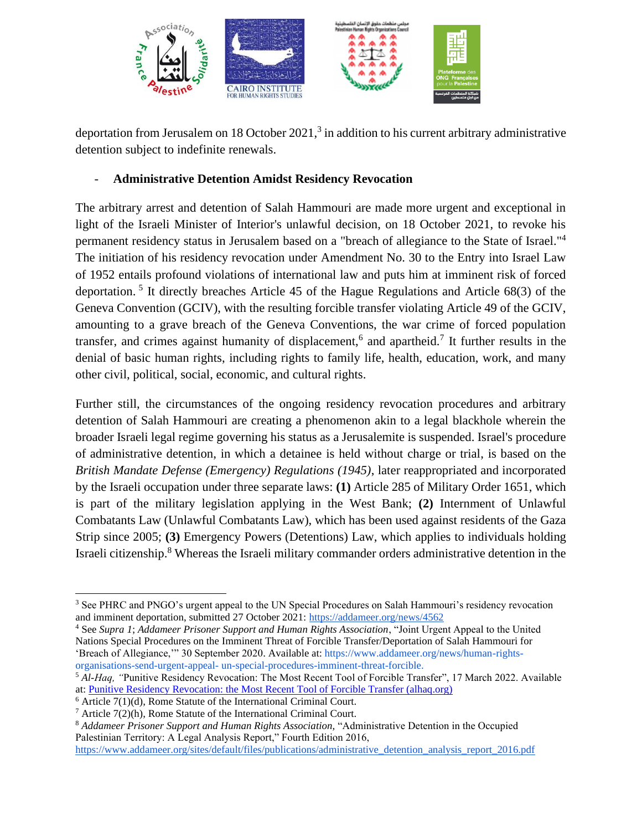

deportation from Jerusalem on 18 October 2021, $3$  in addition to his current arbitrary administrative detention subject to indefinite renewals.

#### - **Administrative Detention Amidst Residency Revocation**

The arbitrary arrest and detention of Salah Hammouri are made more urgent and exceptional in light of the Israeli Minister of Interior's unlawful decision, on 18 October 2021, to revoke his permanent residency status in Jerusalem based on a "breach of allegiance to the State of Israel."<sup>4</sup> The initiation of his residency revocation under Amendment No. 30 to the Entry into Israel Law of 1952 entails profound violations of international law and puts him at imminent risk of forced deportation.<sup>5</sup> It directly breaches Article 45 of the Hague Regulations and Article 68(3) of the Geneva Convention (GCIV), with the resulting forcible transfer violating Article 49 of the GCIV, amounting to a grave breach of the Geneva Conventions, the war crime of forced population transfer, and crimes against humanity of displacement,<sup>6</sup> and apartheid.<sup>7</sup> It further results in the denial of basic human rights, including rights to family life, health, education, work, and many other civil, political, social, economic, and cultural rights.

Further still, the circumstances of the ongoing residency revocation procedures and arbitrary detention of Salah Hammouri are creating a phenomenon akin to a legal blackhole wherein the broader Israeli legal regime governing his status as a Jerusalemite is suspended. Israel's procedure of administrative detention, in which a detainee is held without charge or trial, is based on the *British Mandate Defense (Emergency) Regulations (1945)*, later reappropriated and incorporated by the Israeli occupation under three separate laws: **(1)** Article 285 of Military Order 1651, which is part of the military legislation applying in the West Bank; **(2)** Internment of Unlawful Combatants Law (Unlawful Combatants Law), which has been used against residents of the Gaza Strip since 2005; **(3)** Emergency Powers (Detentions) Law, which applies to individuals holding Israeli citizenship.<sup>8</sup> Whereas the Israeli military commander orders administrative detention in the

<sup>4</sup> See *Supra 1*; *Addameer Prisoner Support and Human Rights Association*, "Joint Urgent Appeal to the United Nations Special Procedures on the Imminent Threat of Forcible Transfer/Deportation of Salah Hammouri for 'Breach of Allegiance,'" 30 September 2020. Available at: https://www.addameer.org/news/human-rightsorganisations-send-urgent-appeal- un-special-procedures-imminent-threat-forcible.

<sup>5</sup> *Al-Haq, "*Punitive Residency Revocation: The Most Recent Tool of Forcible Transfer", 17 March 2022. Available at: [Punitive Residency Revocation: the Most Recent Tool of Forcible Transfer \(alhaq.org\)](https://www.alhaq.org/advocacy/6257.html)

<sup>&</sup>lt;sup>3</sup> See PHRC and PNGO's urgent appeal to the UN Special Procedures on Salah Hammouri's residency revocation and imminent deportation, submitted 27 October 2021[: https://addameer.org/news/4562](https://addameer.org/news/4562)

 $6$  Article 7(1)(d), Rome Statute of the International Criminal Court.

 $7$  Article 7(2)(h), Rome Statute of the International Criminal Court.

<sup>8</sup> *Addameer Prisoner Support and Human Rights Association,* "Administrative Detention in the Occupied Palestinian Territory: A Legal Analysis Report," Fourth Edition 2016,

[https://www.addameer.org/sites/default/files/publications/administrative\\_detention\\_analysis\\_report\\_2016.pdf](https://www.addameer.org/sites/default/files/publications/administrative_detention_analysis_report_2016.pdf)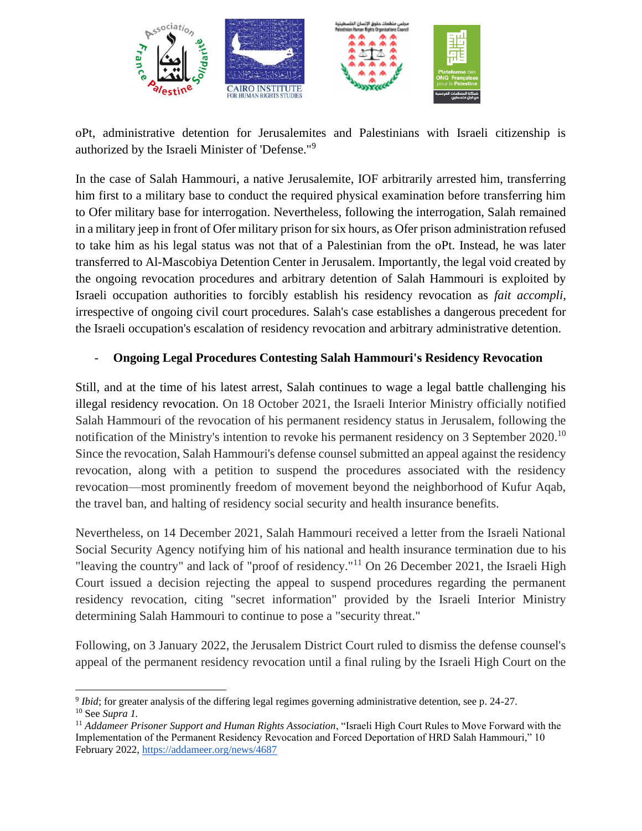

oPt, administrative detention for Jerusalemites and Palestinians with Israeli citizenship is authorized by the Israeli Minister of 'Defense."<sup>9</sup>

In the case of Salah Hammouri, a native Jerusalemite, IOF arbitrarily arrested him, transferring him first to a military base to conduct the required physical examination before transferring him to Ofer military base for interrogation. Nevertheless, following the interrogation, Salah remained in a military jeep in front of Ofer military prison for six hours, as Ofer prison administration refused to take him as his legal status was not that of a Palestinian from the oPt. Instead, he was later transferred to Al-Mascobiya Detention Center in Jerusalem. Importantly, the legal void created by the ongoing revocation procedures and arbitrary detention of Salah Hammouri is exploited by Israeli occupation authorities to forcibly establish his residency revocation as *fait accompli*, irrespective of ongoing civil court procedures. Salah's case establishes a dangerous precedent for the Israeli occupation's escalation of residency revocation and arbitrary administrative detention.

### - **Ongoing Legal Procedures Contesting Salah Hammouri's Residency Revocation**

Still, and at the time of his latest arrest, Salah continues to wage a legal battle challenging his illegal residency revocation. On 18 October 2021, the Israeli Interior Ministry officially notified Salah Hammouri of the revocation of his permanent residency status in Jerusalem, following the notification of the Ministry's intention to revoke his permanent residency on 3 September 2020.<sup>10</sup> Since the revocation, Salah Hammouri's defense counsel submitted an appeal against the residency revocation, along with a petition to suspend the procedures associated with the residency revocation—most prominently freedom of movement beyond the neighborhood of Kufur Aqab, the travel ban, and halting of residency social security and health insurance benefits.

Nevertheless, on 14 December 2021, Salah Hammouri received a letter from the Israeli National Social Security Agency notifying him of his national and health insurance termination due to his "leaving the country" and lack of "proof of residency."<sup>11</sup> On 26 December 2021, the Israeli High Court issued a decision rejecting the appeal to suspend procedures regarding the permanent residency revocation, citing "secret information" provided by the Israeli Interior Ministry determining Salah Hammouri to continue to pose a "security threat."

Following, on 3 January 2022, the Jerusalem District Court ruled to dismiss the defense counsel's appeal of the permanent residency revocation until a final ruling by the Israeli High Court on the

<sup>&</sup>lt;sup>9</sup> Ibid; for greater analysis of the differing legal regimes governing administrative detention, see p. 24-27. <sup>10</sup> See *Supra 1.*

<sup>11</sup> *Addameer Prisoner Support and Human Rights Association*, "Israeli High Court Rules to Move Forward with the Implementation of the Permanent Residency Revocation and Forced Deportation of HRD Salah Hammouri," 10 February 2022[, https://addameer.org/news/4687](https://addameer.org/news/4687)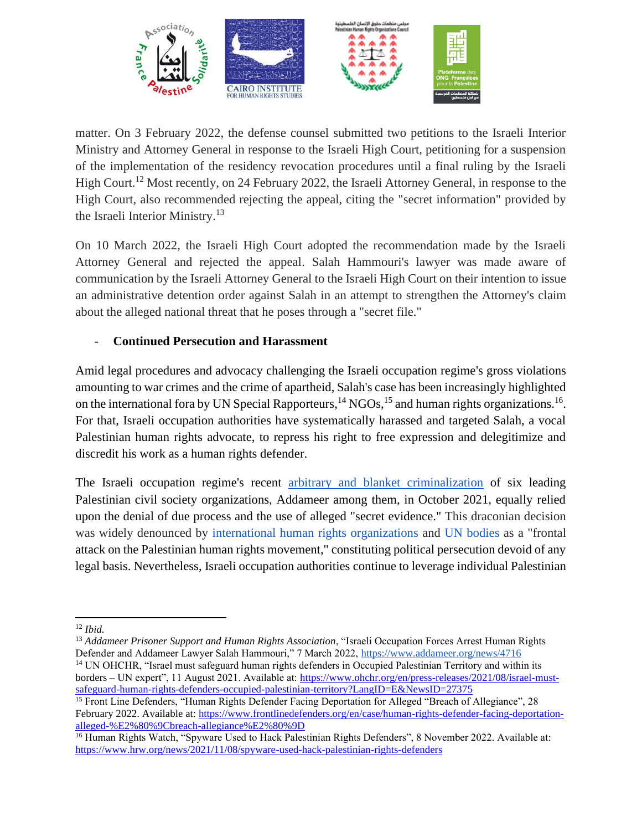

matter. On 3 February 2022, the defense counsel submitted two petitions to the Israeli Interior Ministry and Attorney General in response to the Israeli High Court, petitioning for a suspension of the implementation of the residency revocation procedures until a final ruling by the Israeli High Court.<sup>12</sup> Most recently, on 24 February 2022, the Israeli Attorney General, in response to the High Court, also recommended rejecting the appeal, citing the "secret information" provided by the Israeli Interior Ministry.<sup>13</sup>

On 10 March 2022, the Israeli High Court adopted the recommendation made by the Israeli Attorney General and rejected the appeal. Salah Hammouri's lawyer was made aware of communication by the Israeli Attorney General to the Israeli High Court on their intention to issue an administrative detention order against Salah in an attempt to strengthen the Attorney's claim about the alleged national threat that he poses through a "secret file."

## - **Continued Persecution and Harassment**

Amid legal procedures and advocacy challenging the Israeli occupation regime's gross violations amounting to war crimes and the crime of apartheid, Salah's case has been increasingly highlighted on the international fora by UN Special Rapporteurs,  $^{14}$  NGOs,  $^{15}$  and human rights organizations.  $^{16}$ . For that, Israeli occupation authorities have systematically harassed and targeted Salah, a vocal Palestinian human rights advocate, to repress his right to free expression and delegitimize and discredit his work as a human rights defender.

The Israeli occupation regime's recen[t](https://addameer.org/news/4541) [arbitrary and blanket criminalization](https://addameer.org/news/4541) of six leading Palestinian civil society organizations, Addameer among them, in October 2021, equally relied upon the denial of due process and the use of alleged "secret evidence." This draconian decision was widely denounced by [international human rights organizations](https://www.hrw.org/news/2021/10/22/israel/palestine-designation-palestinian-rights-groups-terrorists) and [UN bodies](https://www.ohchr.org/EN/NewsEvents/Pages/DisplayNews.aspx?NewsID=27702&LangID=E) as a "frontal attack on the Palestinian human rights movement," constituting political persecution devoid of any legal basis. Nevertheless, Israeli occupation authorities continue to leverage individual Palestinian

<sup>12</sup> *Ibid.*

<sup>&</sup>lt;sup>13</sup> Addameer Prisoner Support and Human Rights Association, "Israeli Occupation Forces Arrest Human Rights Defender and Addameer Lawyer Salah Hammouri," 7 March 2022, https://www.addameer.org/news/4716

<sup>&</sup>lt;sup>14</sup> UN OHCHR, "Israel must safeguard human rights defenders in Occupied Palestinian Territory and within its borders – UN expert", 11 August 2021. Available at: [https://www.ohchr.org/en/press-releases/2021/08/israel-must](https://www.ohchr.org/en/press-releases/2021/08/israel-must-safeguard-human-rights-defenders-occupied-palestinian-territory?LangID=E&NewsID=27375)[safeguard-human-rights-defenders-occupied-palestinian-territory?LangID=E&NewsID=27375](https://www.ohchr.org/en/press-releases/2021/08/israel-must-safeguard-human-rights-defenders-occupied-palestinian-territory?LangID=E&NewsID=27375)

<sup>&</sup>lt;sup>15</sup> Front Line Defenders, "Human Rights Defender Facing Deportation for Alleged "Breach of Allegiance", 28 February 2022. Available at: [https://www.frontlinedefenders.org/en/case/human-rights-defender-facing-deportation](https://www.frontlinedefenders.org/en/case/human-rights-defender-facing-deportation-alleged-%E2%80%9Cbreach-allegiance%E2%80%9D)[alleged-%E2%80%9Cbreach-allegiance%E2%80%9D](https://www.frontlinedefenders.org/en/case/human-rights-defender-facing-deportation-alleged-%E2%80%9Cbreach-allegiance%E2%80%9D) 

<sup>&</sup>lt;sup>16</sup> Human Rights Watch, "Spyware Used to Hack Palestinian Rights Defenders", 8 November 2022. Available at: <https://www.hrw.org/news/2021/11/08/spyware-used-hack-palestinian-rights-defenders>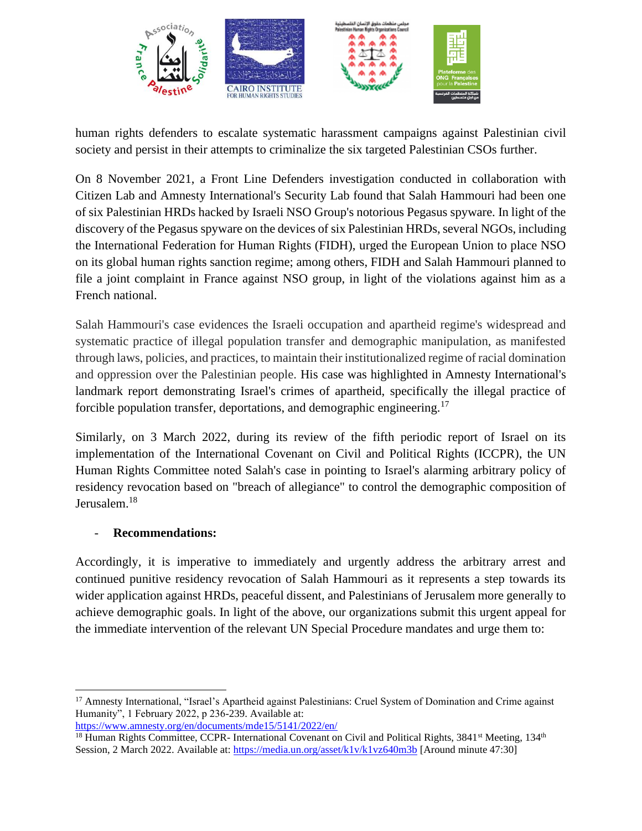

human rights defenders to escalate systematic harassment campaigns against Palestinian civil society and persist in their attempts to criminalize the six targeted Palestinian CSOs further.

On 8 November 2021, a Front Line Defenders [investigation](https://www.frontlinedefenders.org/en/statement-report/statement-targeting-palestinian-hrds-pegasus) conducted in collaboration wit[h](https://citizenlab.ca/) [Citizen Lab](https://citizenlab.ca/) and Amnesty International's Security Lab found that Salah Hammouri had been one of six Palestinian HRDs hacked by Israeli NSO Group's notorious Pegasus spyware. In light of the discovery of the Pegasus spyware on the devices of six Palestinian HRDs, several NGOs, including the International Federation for Human Rights (FIDH), [urged](https://www.fidh.org/en/region/north-africa-middle-east/israel-palestine/eu-joint-ngo-letter-urging-eu-targeted-sanctions-against-nso-group) the European Union to place NSO on its global human rights sanction regime; among others, FIDH and Salah Hammouri planned to file a joint complaint in France against NSO group, in light of the violations against him as a French national.

Salah Hammouri's case evidences the Israeli occupation and apartheid regime's widespread and systematic practice of illegal population transfer and demographic manipulation, as manifested through laws, policies, and practices, to maintain their institutionalized regime of racial domination and oppression over the Palestinian people. His case was highlighted in Amnesty International's landmark [report](https://www.amnesty.org/en/latest/news/2022/02/israels-apartheid-against-palestinians-a-cruel-system-of-domination-and-a-crime-against-humanity/) demonstrating Israel's crimes of apartheid, specifically the illegal practice of forcible population transfer, deportations, and demographic engineering.<sup>17</sup>

Similarly, on 3 March 2022, during its review of the fifth periodic report of Israel on its implementation of the International Covenant on Civil and Political Rights (ICCPR), the UN Human Rights Committee noted Salah's case in pointing to Israel's alarming arbitrary policy of residency revocation based on "breach of allegiance" to control the demographic composition of Jerusalem.<sup>18</sup>

#### - **Recommendations:**

Accordingly, it is imperative to immediately and urgently address the arbitrary arrest and continued punitive residency revocation of Salah Hammouri as it represents a step towards its wider application against HRDs, peaceful dissent, and Palestinians of Jerusalem more generally to achieve demographic goals. In light of the above, our organizations submit this urgent appeal for the immediate intervention of the relevant UN Special Procedure mandates and urge them to:

<sup>&</sup>lt;sup>17</sup> Amnesty International, "Israel's Apartheid against Palestinians: Cruel System of Domination and Crime against Humanity", 1 February 2022, p 236-239. Available at:

<https://www.amnesty.org/en/documents/mde15/5141/2022/en/>

 $18$  Human Rights Committee, CCPR- International Covenant on Civil and Political Rights, 3841<sup>st</sup> Meeting, 134<sup>th</sup> Session, 2 March 2022. Available at[: https://media.un.org/asset/k1v/k1vz640m3b](https://media.un.org/asset/k1v/k1vz640m3b) [Around minute 47:30]